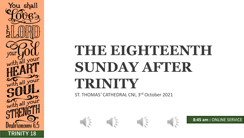# THE EIGHTEENTH **SUNDAY AFTER TRINITY**

ST. THOMAS*'* CATHEDRAL CNI, 3 rd October 2021

 $\frac{1}{2}$ 



**TRINITY 18**

You shall

you

 $\frac{5}{h}$  all  $\frac{1}{2}$ 





**8:45 am :** ONLINE SERVICE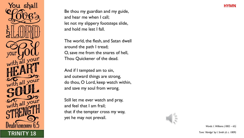You shall all your with all your with all your **TRINITY 18** Tune: 'Abridge' by I. Smith (d. c. 1809)

Be thou my guardian and my guide, and hear me when I call; let not my slippery footsteps slide, and hold me lest I fall.

The world, the flesh, and Satan dwell around the path I tread; O, save me from the snares of hell, Thou Quickener of the dead.

And if I tempted am to sin, and outward things are strong, do thou, O Lord, keep watch within, and save my soul from wrong.

Still let me ever watch and pray, and feel that I am frail; that if the tempter cross my way, yet he may not prevail.



*Words: I. Williams (1802 – 65)*

**HYMN**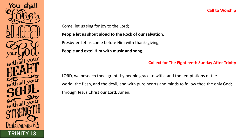

#### **Call to Worship**

Come, let us sing for joy to the Lord;

**People let us shout aloud to the Rock of our salvation.**

Presbyter Let us come before Him with thanksgiving;

**People and extol Him with music and song.**

#### **Collect for The Eighteenth Sunday After Trinity**

LORD, we beseech thee, grant thy people grace to withstand the temptations of the world, the flesh, and the devil, and with pure hearts and minds to follow thee the only God; through Jesus Christ our Lord. Amen.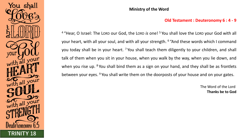

#### **Ministry of the Word**

#### **Old Testament : Deuteronomy 6 : 4 - 9**

<sup>4</sup> "Hear, O Israel: The LORD our God, the LORD *is* one! <sup>5</sup> You shall love the LORD your God with all your heart, with all your soul, and with all your strength. <sup>6</sup> "And these words which I command you today shall be in your heart. <sup>7</sup> You shall teach them diligently to your children, and shall talk of them when you sit in your house, when you walk by the way, when you lie down, and when you rise up. <sup>8</sup> You shall bind them as a sign on your hand, and they shall be as frontlets between your eyes. <sup>9</sup> You shall write them on the doorposts of your house and on your gates.

> The Word of the Lord **Thanks be to God**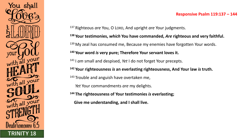

### <sup>137</sup> Righteous *are* You, O LORD, And upright *are* Your judgments.

## **<sup>138</sup> Your testimonies,** *which* **You have commanded,** *Are* **righteous and very faithful.** <sup>139</sup> My zeal has consumed me, Because my enemies have forgotten Your words.

#### **<sup>140</sup> Your word** *is* **very pure; Therefore Your servant loves it.**

<sup>141</sup> I *am* small and despised, *Yet* I do not forget Your precepts.

**<sup>142</sup> Your righteousness** *is* **an everlasting righteousness, And Your law** *is* **truth.**

 $143$  Trouble and anguish have overtaken me,

*Yet* Your commandments *are* my delights.

**<sup>144</sup> The righteousness of Your testimonies** *is* **everlasting;**

**Give me understanding, and I shall live.**

#### **Responsive Psalm 119:137 – 144**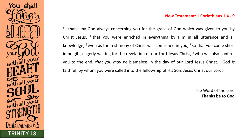#### **New Testament: 1 Corinthians 1:4 - 9**

<sup>4</sup> I thank my God always concerning you for the grace of God which was given to you by Christ Jesus, <sup>5</sup> that you were enriched in everything by Him in all utterance and all knowledge, <sup>6</sup> even as the testimony of Christ was confirmed in you, <sup>7</sup> so that you come short in no gift, eagerly waiting for the revelation of our Lord Jesus Christ,  $8$  who will also confirm you to the end, *that you may be* blameless in the day of our Lord Jesus Christ. <sup>9</sup> God *is* faithful, by whom you were called into the fellowship of His Son, Jesus Christ our Lord.

**TRINITY 18**

You shall

with all your

with all your

with all your

The Word of the Lord **Thanks be to God**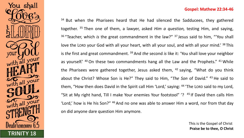



<sup>34</sup> But when the Pharisees heard that He had silenced the Sadducees, they gathered together. <sup>35</sup> Then one of them, a lawyer, asked *Him a question,* testing Him, and saying, <sup>36</sup> "Teacher, which *is* the great commandment in the law?" <sup>37</sup> Jesus said to him, "'You shall love the LORD your God with all your heart, with all your soul, and with all your mind.' <sup>38</sup> This is *the* first and great commandment. <sup>39</sup> And *the* second *is* like it: 'You shall love your neighbor as yourself.' <sup>40</sup> On these two commandments hang all the Law and the Prophets." <sup>41</sup> While the Pharisees were gathered together, Jesus asked them,  $42$  saying, "What do you think about the Christ? Whose Son is He?" They said to Him, "*The Son* of David." <sup>43</sup> He said to them, "How then does David in the Spirit call Him 'Lord,' saying: <sup>44</sup> 'The Lorn said to my Lord, "Sit at My right hand, Till I make Your enemies Your footstool" '?  $45$  If David then calls Him 'Lord,' how is He his Son?" <sup>46</sup> And no one was able to answer Him a word, nor from that day on did anyone dare question Him anymore.

> This is the Gospel of Christ **Praise be to thee, O Christ**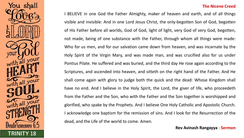

#### **The Nicene Creed**

I BELIEVE in one God the Father Almighty, maker of heaven and earth, and of all things visible and invisible: And in one Lord Jesus Christ, the only-begotten Son of God, begotten of His Father before all worlds, God of God, light of light, very God of very God, begotten, not made, being of one substance with the Father, through whom all things were made: Who for us men, and for our salvation came down from heaven, and was incarnate by the Holy Spirit of the Virgin Mary, and was made man, and was crucified also for us under Pontius Pilate. He suffered and was buried, and the third day He rose again according to the Scriptures, and ascended into heaven, and sitteth on the right hand of the Father. And He shall come again with glory to judge both the quick and the dead: Whose Kingdom shall have no end. And I believe in the Holy Spirit, the Lord, the giver of life, who proceedeth from the Father and the Son, who with the Father and the Son together is worshipped and glorified, who spake by the Prophets. And I believe One Holy Catholic and Apostolic Church. I acknowledge one baptism for the remission of sins. And I look for the Resurrection of the dead, and the Life of the world to come. Amen.

**Rev Avinash Rangayya** : **Sermon**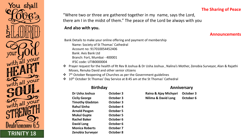#### **The Sharing of Peace**

"Where two or three are gathered together in my name, says the Lord, there am I in the midst of them." The peace of the Lord be always with you

#### **And also with you.**

#### **Announcements**

Bank Details to make your online offering and payment of membership Name: Society of St Thomas' Cathedral Account no: 917010054452406 Bank: Axis Bank Ltd

Branch: Fort, Mumbai - 400001

IFSC code: UTIB0000004

- ❖ Prayer request for the health of Rt Rev B Joshua & Dr Usha Joshua , Nalina's Mother, Zenobia Surveyor, Alan & Rajathi Moses, Renuka David and other senior citizens
- $\bullet$  $7<sup>th</sup>$  October Reopening of Churches as per the Government guidelines
- ❖ 10th October St Thomas' Day Service at 8:45 am at the St Thomas' Cathedral

| Dr Usha Joshua          | October 3            |
|-------------------------|----------------------|
| <b>Cicily George</b>    | October 3            |
| <b>Timothy Gladston</b> | <b>October 3</b>     |
| <b>Rahul Sinha</b>      | October 4            |
| <b>Arnold Pasgon</b>    | <b>October 5</b>     |
| <b>Mukul Gupte</b>      | <b>October 5</b>     |
| <b>Rachel Baker</b>     | October 6            |
| <b>David Long</b>       | October <sub>6</sub> |
| <b>Monica Roberts</b>   | October 7            |
| Zenobia Survevor        | October 8            |

**Birthday Anniversary Anniversary** 

**Dr Usha Joshua October 3 Raina & Ajay Michyari October 3 Cicily George October 3 Nilima & David Long October 6**

 $\frac{1}{2}$ all you with all your with all your **Zenobia Surveyor October 8 TRINITY 18**

You shall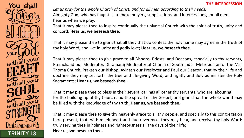

*Let us pray for the whole Church of Christ, and for all men according to their needs.* Almighty God, who has taught us to make prayers, supplications, and intercessions, for all men; hear us when we pray:

That it may please thee to inspire continually the universal Church with the spirit of truth, unity and concord; **Hear us, we beseech thee.**

That it may please thee to grant that all they that do confess thy holy name may agree in the truth of thy holy Word, and live in unity and godly love; **Hear us, we beseech thee.**

That it may please thee to give grace to all Bishops, Priests, and Deacons, especially to thy servants, Premchand our Moderator, Dhramaraj Moderator of Church of South India, Metropolitan of the Mar Thoma Church, Prakash our Bishop, Avinash our Presbyter and Paul our Deacon, that by their life and doctrine they may set forth thy true and life-giving Word, and rightly and duly administer thy Holy Sacraments; **Hear us, we beseech thee.**

That it may please thee to bless in their several callings all other thy servants, who are labouring for the building up of thy Church and the spread of thy Gospel, and grant that the whole world may be filled with the knowledge of thy truth; **Hear us, we beseech thee.**

That it may please thee to give thy heavenly grace to all thy people, and specially to this congregation here present; that, with meek heart and due reverence, they may hear, and receive thy holy Word: truly serving thee in holiness and righteousness all the days of their life; **Hear us, we beseech thee.**

**TRINITY 18**

You shall

with all you

with all your

with all your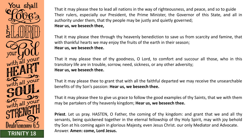You shall with all you with all your with all your **TRINITY 18**

That it may please thee to lead all nations in the way of righteousness, and peace, and so to guide Their rulers, especially our President, the Prime Minister, the Governor of this State, and all in authority under them, that thy people may be justly and quietly governed; **Hear us, we beseech thee,**

That it may please thee through thy heavenly benediction to save us from scarcity and famine, that with thankful hearts we may enjoy the fruits of the earth in their season; **Hear us, we beseech thee.**

That it may please thee of thy goodness, O Lord, to comfort and succour all those, who in this transitory life are in trouble, sorrow, need, sickness, or any other adversity; **Hear us, we beseech thee.**

That it may please thee to grant that with all the faithful departed we may receive the unsearchable benefits of thy Son's passion: **Hear us, we beseech thee.**

That it may please thee to give us grace to follow the good examples of thy Saints, that we with them may be partakers of thy heavenly kingdom; **Hear us, we beseech thee.**

**Priest**. Let us pray. HASTEN, O Father, the coming of thy kingdom: and grant that we and all thy servants, being quickened together in the eternal fellowship of thy Holy Spirit, may with joy behold thy Son at his coming again in glorious Majesty, even Jesus Christ. our only Mediator and Advocate. Answer. **Amen: come, Lord Jesus.**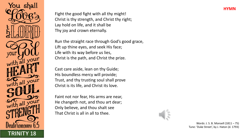

Fight the good fight with all thy might! Christ is thy strength, and Christ thy right; Lay hold on life, and it shall be Thy joy and crown eternally.

Run the straight race through God's good grace, Lift up thine eyes, and seek His face; Life with its way before us lies, Christ is the path, and Christ the prize.

Cast care aside, lean on thy Guide; His boundless mercy will provide; Trust, and thy trusting soul shall prove Christ is its life, and Christ its love.

Faint not nor fear, His arms are near, He changeth not, and thou art dear; Only believe, and thou shalt see That Christ is all in all to thee.

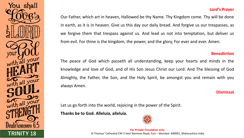

# Our Father, which art in heaven, Hallowed be thy Name. Thy Kingdom come. Thy will be done in earth, as it is in heaven. Give us this day our daily bread. And forgive us our trespasses, as we forgive them that trespass against us. And lead us not into temptation, but deliver us from evil. For thine is the kingdom, the power, and the glory, For ever and ever. Amen.

#### **Benediction**

The peace of God which passeth all understanding, keep your hearts and minds in the knowledge and love of God, and of His Son Jesus Christ our Lord: And The blessing of God Almighty, the Father, the Son, and the Holy Spirit, be amongst you and remain with you always Amen.

#### **Dismissal**

Let us go forth into the world, rejoicing in the power of the Spirit.

**Thanks be to God. Alleluia, alleluia.** 



**For Private Circulation only TRINITY 18** St Thomas' Cathedral CNI 3 Veer Nariman Road, Fort – Mumbai: 400001, Maharashtra India

#### **Lord's Prayer**